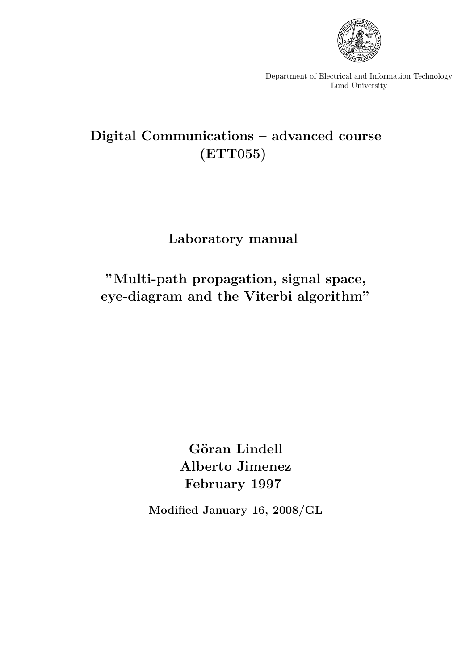

Department of Electrical and Information Technology Lund University

# **Digital Communications – advanced course (ETT055)**

# **Laboratory manual**

# **"Multi-path propagation, signal space, eye-diagram and the Viterbi algorithm"**

Göran Lindell **Alberto Jimenez February 1997**

**Modified January 16, 2008/GL**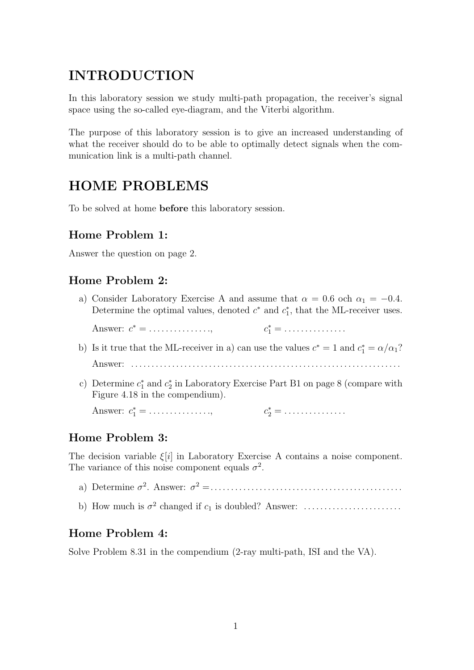## **INTRODUCTION**

In this laboratory session we study multi-path propagation, the receiver's signal space using the so-called eye-diagram, and the Viterbi algorithm.

The purpose of this laboratory session is to give an increased understanding of what the receiver should do to be able to optimally detect signals when the communication link is a multi-path channel.

## **HOME PROBLEMS**

To be solved at home **before** this laboratory session.

## **Home Problem 1:**

Answer the question on page 2.

### **Home Problem 2:**

a) Consider Laboratory Exercise A and assume that  $\alpha = 0.6$  och  $\alpha_1 = -0.4$ . Determine the optimal values, denoted  $c^*$  and  $c_1^*$ , that the ML-receiver uses.

Answer:  $c^* = \ldots \ldots \ldots \ldots$  $c_1^* = \ldots \ldots \ldots \ldots \ldots$ 

- b) Is it true that the ML-receiver in a) can use the values  $c^* = 1$  and  $c_1^* = \alpha/\alpha_1$ ? Answer: . . . . . . . . . . . . . . . . . . . . . . . . . . . . . . . . . . . . . . . . . . . . . . . . . . . . . . . . . . . . . . . . . .
- c) Determine  $c_1^*$  and  $c_2^*$  in Laboratory Exercise Part B1 on page 8 (compare with Figure 4.18 in the compendium).

Answer:  $c_1^* = \dots \dots \dots \dots$ 

### **Home Problem 3:**

The decision variable  $\xi[i]$  in Laboratory Exercise A contains a noise component. The variance of this noise component equals  $\sigma^2$ .

- a) Determine σ<sup>2</sup>. Answer: σ<sup>2</sup> =...............................................
- b) How much is σ<sup>2</sup> changed if c<sup>1</sup> is doubled? Answer: . . . . . . . . . . . . . . . . . . . . . . . .

### **Home Problem 4:**

Solve Problem 8.31 in the compendium (2-ray multi-path, ISI and the VA).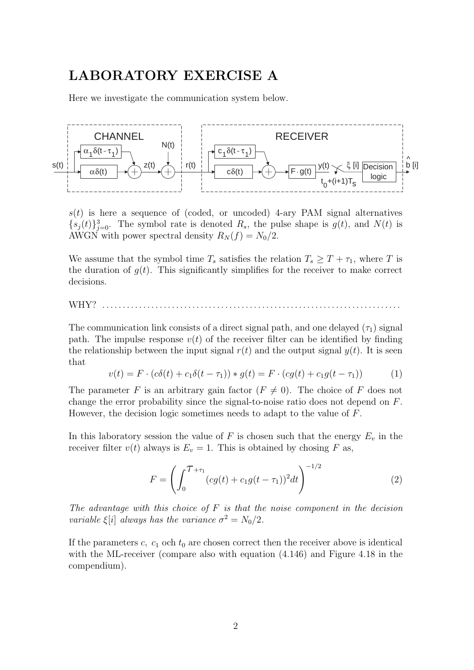## **LABORATORY EXERCISE A**

Here we investigate the communication system below.



 $s(t)$  is here a sequence of (coded, or uncoded) 4-ary PAM signal alternatives  ${s_j(t)}_{j=0}^3$ . The symbol rate is denoted  $R_s$ , the pulse shape is  $g(t)$ , and  $N(t)$  is AWGN with power spectral density  $R_N(f) = N_0/2$ .

We assume that the symbol time  $T_s$  satisfies the relation  $T_s \geq T + \tau_1$ , where T is the duration of  $q(t)$ . This significantly simplifies for the receiver to make correct decisions.

WHY? . . . . . . . . . . . . . . . . . . . . . . . . . . . . . . . . . . . . . . . . . . . . . . . . . . . . . . . . . . . . . . . . . . . . . . . . .

The communication link consists of a direct signal path, and one delayed  $(\tau_1)$  signal path. The impulse response  $v(t)$  of the receiver filter can be identified by finding the relationship between the input signal  $r(t)$  and the output signal  $y(t)$ . It is seen that

$$
v(t) = F \cdot (c\delta(t) + c_1 \delta(t - \tau_1)) * g(t) = F \cdot (cg(t) + c_1 g(t - \tau_1))
$$
 (1)

The parameter F is an arbitrary gain factor  $(F \neq 0)$ . The choice of F does not change the error probability since the signal-to-noise ratio does not depend on F. However, the decision logic sometimes needs to adapt to the value of F.

In this laboratory session the value of F is chosen such that the energy  $E_v$  in the receiver filter  $v(t)$  always is  $E_v = 1$ . This is obtained by chosing F as,

$$
F = \left(\int_0^{\mathcal{T}+\tau_1} (cg(t) + c_1 g(t-\tau_1))^2 dt\right)^{-1/2}
$$
 (2)

*The advantage with this choice of* F *is that the noise component in the decision variable*  $\xi[i]$  *always has the variance*  $\sigma^2 = N_0/2$ *.* 

If the parameters c,  $c_1$  och  $t_0$  are chosen correct then the receiver above is identical with the ML-receiver (compare also with equation (4.146) and Figure 4.18 in the compendium).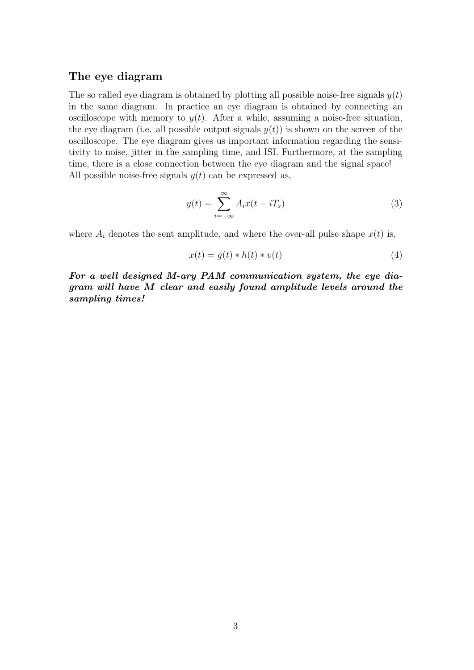#### **The eye diagram**

The so called eye diagram is obtained by plotting all possible noise-free signals  $y(t)$ in the same diagram. In practice an eye diagram is obtained by connecting an oscilloscope with memory to  $y(t)$ . After a while, assuming a noise-free situation, the eye diagram (i.e. all possible output signals  $y(t)$ ) is shown on the screen of the oscilloscope. The eye diagram gives us important information regarding the sensitivity to noise, jitter in the sampling time, and ISI. Furthermore, at the sampling time, there is a close connection between the eye diagram and the signal space! All possible noise-free signals  $y(t)$  can be expressed as,

$$
y(t) = \sum_{i = -\infty}^{\infty} A_i x(t - iT_s)
$$
 (3)

where  $A_i$  denotes the sent amplitude, and where the over-all pulse shape  $x(t)$  is,

$$
x(t) = g(t) * h(t) * v(t)
$$
\n<sup>(4)</sup>

*For a well designed M-ary PAM communication system, the eye diagram will have M clear and easily found amplitude levels around the sampling times!*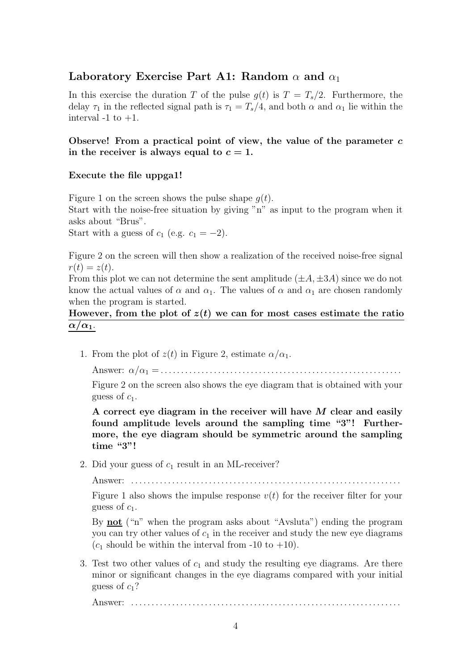## Laboratory Exercise Part A1: Random  $\alpha$  and  $\alpha_1$

In this exercise the duration T of the pulse  $g(t)$  is  $T = T_s/2$ . Furthermore, the delay  $\tau_1$  in the reflected signal path is  $\tau_1 = T_s/4$ , and both  $\alpha$  and  $\alpha_1$  lie within the interval  $-1$  to  $+1$ .

#### **Observe! From a practical point of view, the value of the parameter** *c* in the receiver is always equal to  $c = 1$ .

#### **Execute the file uppga1!**

Figure 1 on the screen shows the pulse shape  $q(t)$ .

Start with the noise-free situation by giving "n" as input to the program when it asks about "Brus".

Start with a guess of  $c_1$  (e.g.  $c_1 = -2$ ).

Figure 2 on the screen will then show a realization of the received noise-free signal  $r(t) = z(t)$ .

From this plot we can not determine the sent amplitude  $(\pm A, \pm 3A)$  since we do not know the actual values of  $\alpha$  and  $\alpha_1$ . The values of  $\alpha$  and  $\alpha_1$  are chosen randomly when the program is started.

## However, from the plot of  $z(t)$  we can for most cases estimate the ratio  $\alpha/\alpha_1$ .

1. From the plot of  $z(t)$  in Figure 2, estimate  $\alpha/\alpha_1$ .

Answer: α/α<sup>1</sup> =...........................................................

Figure 2 on the screen also shows the eye diagram that is obtained with your guess of  $c_1$ .

**A correct eye diagram in the receiver will have** *M* **clear and easily found amplitude levels around the sampling time "3"! Furthermore, the eye diagram should be symmetric around the sampling time "3"!**

2. Did your guess of  $c_1$  result in an ML-receiver?

Answer: . . . . . . . . . . . . . . . . . . . . . . . . . . . . . . . . . . . . . . . . . . . . . . . . . . . . . . . . . . . . . . . . . .

Figure 1 also shows the impulse response  $v(t)$  for the receiver filter for your guess of  $c_1$ .

By **not** ("n" when the program asks about "Avsluta") ending the program you can try other values of  $c_1$  in the receiver and study the new eye diagrams  $(c_1$  should be within the interval from -10 to +10).

3. Test two other values of  $c_1$  and study the resulting eye diagrams. Are there minor or significant changes in the eye diagrams compared with your initial guess of  $c_1$ ?

Answer: . . . . . . . . . . . . . . . . . . . . . . . . . . . . . . . . . . . . . . . . . . . . . . . . . . . . . . . . . . . . . . . . . .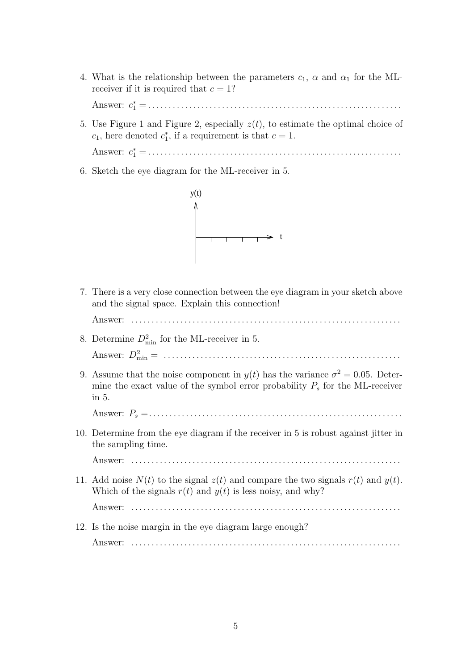4. What is the relationship between the parameters  $c_1$ ,  $\alpha$  and  $\alpha_1$  for the MLreceiver if it is required that  $c = 1$ ?

Answer: c<sup>∗</sup> <sup>1</sup> =..............................................................

5. Use Figure 1 and Figure 2, especially  $z(t)$ , to estimate the optimal choice of  $c_1$ , here denoted  $c_1^*$ , if a requirement is that  $c = 1$ .

Answer: c<sup>∗</sup> <sup>1</sup> =..............................................................

6. Sketch the eye diagram for the ML-receiver in 5.



7. There is a very close connection between the eye diagram in your sketch above and the signal space. Explain this connection!

Answer: . . . . . . . . . . . . . . . . . . . . . . . . . . . . . . . . . . . . . . . . . . . . . . . . . . . . . . . . . . . . . . . . . .

- 8. Determine  $D_{\min}^2$  for the ML-receiver in 5. Answer: D<sup>2</sup> min = ..........................................................
- 9. Assume that the noise component in  $y(t)$  has the variance  $\sigma^2 = 0.05$ . Determine the exact value of the symbol error probability  $P_s$  for the ML-receiver in 5.

Answer: P<sup>s</sup> =..............................................................

10. Determine from the eye diagram if the receiver in 5 is robust against jitter in the sampling time.

Answer: . . . . . . . . . . . . . . . . . . . . . . . . . . . . . . . . . . . . . . . . . . . . . . . . . . . . . . . . . . . . . . . . . .

11. Add noise  $N(t)$  to the signal  $z(t)$  and compare the two signals  $r(t)$  and  $y(t)$ . Which of the signals  $r(t)$  and  $y(t)$  is less noisy, and why?

Answer: . . . . . . . . . . . . . . . . . . . . . . . . . . . . . . . . . . . . . . . . . . . . . . . . . . . . . . . . . . . . . . . . . .

12. Is the noise margin in the eye diagram large enough?

Answer: . . . . . . . . . . . . . . . . . . . . . . . . . . . . . . . . . . . . . . . . . . . . . . . . . . . . . . . . . . . . . . . . . .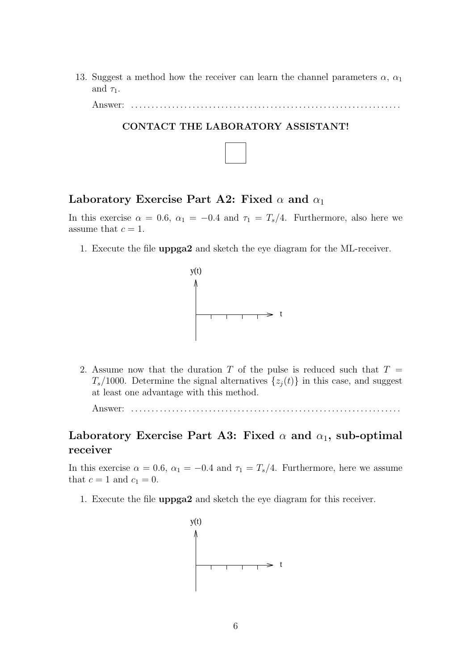13. Suggest a method how the receiver can learn the channel parameters  $\alpha$ ,  $\alpha_1$ and  $\tau_1$ .

Answer: . . . . . . . . . . . . . . . . . . . . . . . . . . . . . . . . . . . . . . . . . . . . . . . . . . . . . . . . . . . . . . . . . .



## Laboratory Exercise Part A2: Fixed  $\alpha$  and  $\alpha_1$

In this exercise  $\alpha = 0.6$ ,  $\alpha_1 = -0.4$  and  $\tau_1 = T_s/4$ . Furthermore, also here we assume that  $c = 1$ .

1. Execute the file **uppga2** and sketch the eye diagram for the ML-receiver.



2. Assume now that the duration T of the pulse is reduced such that  $T =$  $T_s/1000$ . Determine the signal alternatives  $\{z_j(t)\}\$ in this case, and suggest at least one advantage with this method.

Answer: . . . . . . . . . . . . . . . . . . . . . . . . . . . . . . . . . . . . . . . . . . . . . . . . . . . . . . . . . . . . . . . . . .

## Laboratory Exercise Part A3: Fixed  $\alpha$  and  $\alpha_1$ , sub-optimal **receiver**

In this exercise  $\alpha = 0.6$ ,  $\alpha_1 = -0.4$  and  $\tau_1 = T_s/4$ . Furthermore, here we assume that  $c = 1$  and  $c_1 = 0$ .

1. Execute the file **uppga2** and sketch the eye diagram for this receiver.

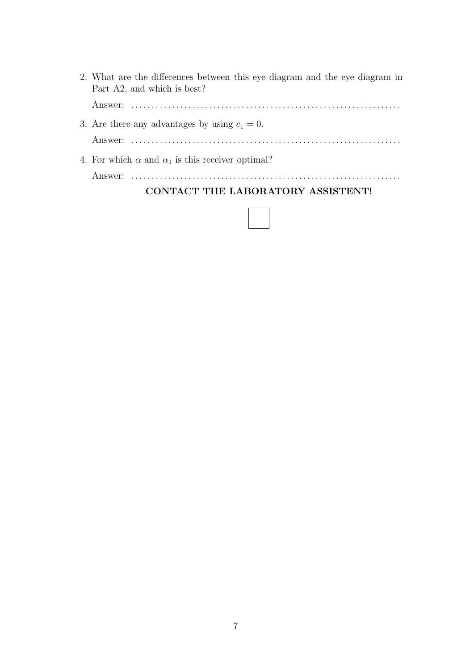| 2. What are the differences between this eye diagram and the eye diagram in<br>Part A2, and which is best? |
|------------------------------------------------------------------------------------------------------------|
|                                                                                                            |
| 3. Are there any advantages by using $c_1 = 0$ .                                                           |
|                                                                                                            |
| 4. For which $\alpha$ and $\alpha_1$ is this receiver optimal?                                             |
|                                                                                                            |

**CONTACT THE LABORATORY ASSISTENT!**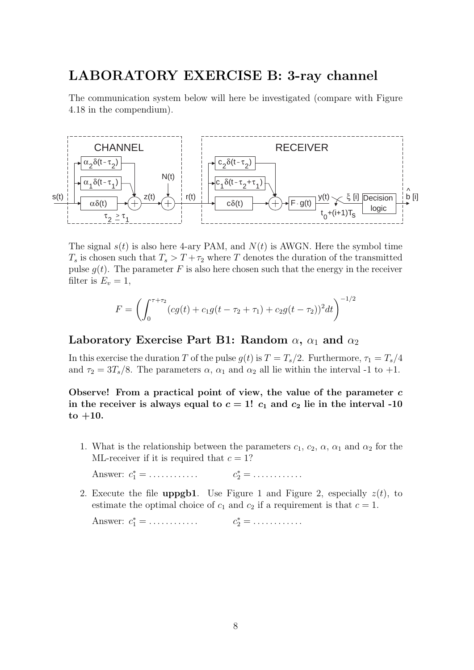## **LABORATORY EXERCISE B: 3-ray channel**

The communication system below will here be investigated (compare with Figure 4.18 in the compendium).



The signal  $s(t)$  is also here 4-ary PAM, and  $N(t)$  is AWGN. Here the symbol time  $T_s$  is chosen such that  $T_s > T + \tau_2$  where T denotes the duration of the transmitted pulse  $g(t)$ . The parameter F is also here chosen such that the energy in the receiver filter is  $E_v = 1$ ,

$$
F = \left(\int_0^{\tau + \tau_2} (cg(t) + c_1 g(t - \tau_2 + \tau_1) + c_2 g(t - \tau_2))^2 dt\right)^{-1/2}
$$

### Laboratory Exercise Part B1: Random  $\alpha$ ,  $\alpha_1$  and  $\alpha_2$

In this exercise the duration T of the pulse  $g(t)$  is  $T = T_s/2$ . Furthermore,  $\tau_1 = T_s/4$ and  $\tau_2 = 3T_s/8$ . The parameters  $\alpha$ ,  $\alpha_1$  and  $\alpha_2$  all lie within the interval -1 to +1.

**Observe! From a practical point of view, the value of the parameter** *c* in the receiver is always equal to  $c = 1!$   $c_1$  and  $c_2$  lie in the interval -10 **to +10.**

1. What is the relationship between the parameters  $c_1, c_2, \alpha, \alpha_1$  and  $\alpha_2$  for the ML-receiver if it is required that  $c = 1$ ?

Answer:  $c_1^* = \dots \dots \dots \dots$  $c_2^* = \ldots \ldots \ldots$ 

2. Execute the file **uppgb1**. Use Figure 1 and Figure 2, especially  $z(t)$ , to

estimate the optimal choice of  $c_1$  and  $c_2$  if a requirement is that  $c = 1$ .

Answer:  $c_1^* = \dots \dots \dots \dots$   $c_2^* = \dots \dots \dots \dots$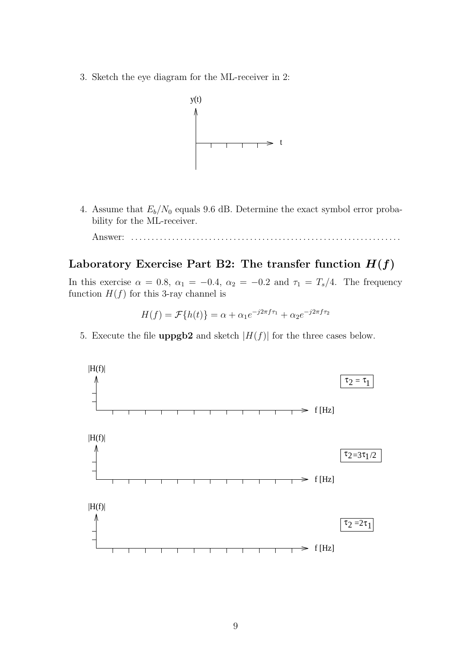3. Sketch the eye diagram for the ML-receiver in 2:



4. Assume that  $E_b/N_0$  equals 9.6 dB. Determine the exact symbol error probability for the ML-receiver.

Answer: . . . . . . . . . . . . . . . . . . . . . . . . . . . . . . . . . . . . . . . . . . . . . . . . . . . . . . . . . . . . . . . . . .

## Laboratory Exercise Part B2: The transfer function  $H(f)$

In this exercise  $\alpha = 0.8$ ,  $\alpha_1 = -0.4$ ,  $\alpha_2 = -0.2$  and  $\tau_1 = T_s/4$ . The frequency function  $H(f)$  for this 3-ray channel is

$$
H(f) = \mathcal{F}{h(t)} = \alpha + \alpha_1 e^{-j2\pi f \tau_1} + \alpha_2 e^{-j2\pi f \tau_2}
$$

5. Execute the file **uppgb2** and sketch  $|H(f)|$  for the three cases below.